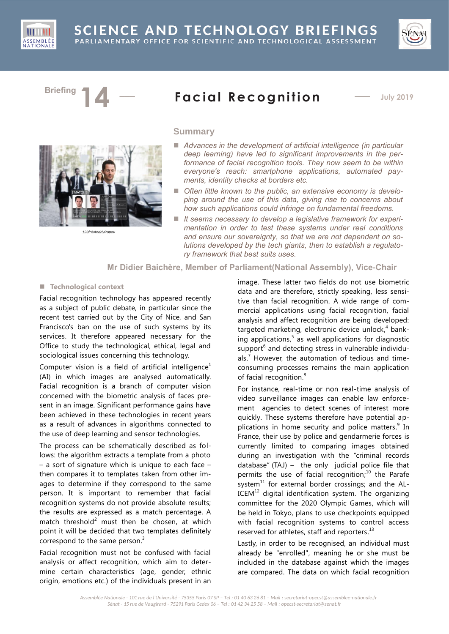



# **Briefing**  $14 -$  **Facial Recognition**  $-$  July 2019



*123fr©AndriyPopov*

# **Summary**

- Advances in the development of artificial intelligence *(in particular deep learning) have led to significant improvements in the performance of facial recognition tools. They now seem to be within everyone's reach: smartphone applications, automated payments, identity checks at borders etc.*
- *Often little known to the public, an extensive economy is developing around the use of this data, giving rise to concerns about how such applications could infringe on fundamental freedoms.*
- It seems necessary to develop a legislative framework for experi*mentation in order to test these systems under real conditions and ensure our sovereignty, so that we are not dependent on solutions developed by the tech giants, then to establish a regulatory framework that best suits uses.*

# **Mr Didier Baichère, Member of Parliament(National Assembly), Vice-Chair**

#### ■ **Technological context**

Facial recognition technology has appeared recently as a subject of public debate, in particular since the recent test carried out by the City of Nice, and San Francisco's ban on the use of such systems by its services. It therefore appeared necessary for the Office to study the technological, ethical, legal and sociological issues concerning this technology.

Computer vision is a field of artificial intelligence<sup>1</sup> (AI) in which images are analysed automatically. Facial recognition is a branch of computer vision concerned with the biometric analysis of faces present in an image. Significant performance gains have been achieved in these technologies in recent years as a result of advances in algorithms connected to the use of deep learning and sensor technologies.

The process can be schematically described as follows: the algorithm extracts a template from a photo – a sort of signature which is unique to each face – then compares it to templates taken from other images to determine if they correspond to the same person. It is important to remember that facial recognition systems do not provide absolute results; the results are expressed as a match percentage. A match threshold<sup>2</sup> must then be chosen, at which point it will be decided that two templates definitely correspond to the same person.<sup>3</sup>

Facial recognition must not be confused with facial analysis or affect recognition, which aim to determine certain characteristics (age, gender, ethnic origin, emotions etc.) of the individuals present in an

image. These latter two fields do not use biometric data and are therefore, strictly speaking, less sensitive than facial recognition. A wide range of commercial applications using facial recognition, facial analysis and affect recognition are being developed: targeted marketing, electronic device unlock,<sup>4</sup> banking applications, 5 as well applications for diagnostic support<sup>6</sup> and detecting stress in vulnerable individuals.<sup>7</sup> However, the automation of tedious and timeconsuming processes remains the main application of facial recognition.<sup>8</sup>

For instance, real-time or non real-time analysis of video surveillance images can enable law enforcement agencies to detect scenes of interest more quickly. These systems therefore have potential applications in home security and police matters.<sup>9</sup> In France, their use by police and gendarmerie forces is currently limited to comparing images obtained during an investigation with the "criminal records database" (TAJ) – the only judicial police file that permits the use of facial recognition;<sup>10</sup> the Parafe system $^{11}$  for external border crossings; and the AL- $ICEM<sup>12</sup>$  digital identification system. The organizing committee for the 2020 Olympic Games, which will be held in Tokyo, plans to use checkpoints equipped with facial recognition systems to control access reserved for athletes, staff and reporters.<sup>13</sup>

Lastly, in order to be recognised, an individual must already be "enrolled", meaning he or she must be included in the database against which the images are compared. The data on which facial recognition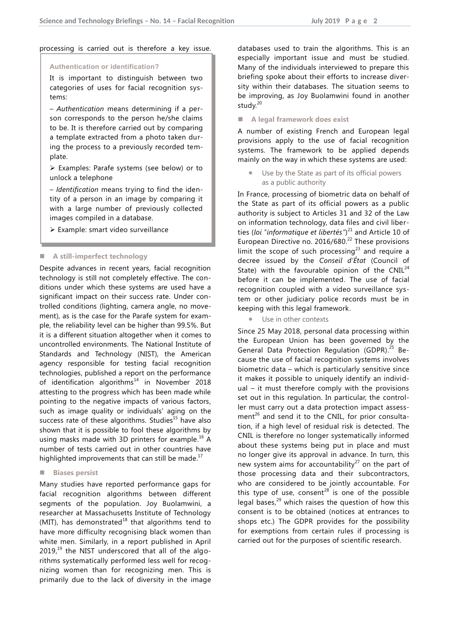#### processing is carried out is therefore a key issue.

#### **Authentication or identification?**

It is important to distinguish between two categories of uses for facial recognition systems:

– *Authentication* means determining if a person corresponds to the person he/she claims to be. It is therefore carried out by comparing a template extracted from a photo taken during the process to a previously recorded template.

 Examples: Parafe systems (see below) or to unlock a telephone

– *Identification* means trying to find the identity of a person in an image by comparing it with a large number of previously collected images compiled in a database.

Example: smart video surveillance

#### **A still-imperfect technology**

Despite advances in recent years, facial recognition technology is still not completely effective. The conditions under which these systems are used have a significant impact on their success rate. Under controlled conditions (lighting, camera angle, no movement), as is the case for the Parafe system for example, the reliability level can be higher than 99.5%. But it is a different situation altogether when it comes to uncontrolled environments. The National Institute of Standards and Technology (NIST), the American agency responsible for testing facial recognition technologies, published a report on the performance of identification algorithms $^{14}$  in November 2018 attesting to the progress which has been made while pointing to the negative impacts of various factors, such as image quality or individuals' aging on the success rate of these algorithms. Studies $15$  have also shown that it is possible to fool these algorithms by using masks made with 3D printers for example.<sup>16</sup> A number of tests carried out in other countries have highlighted improvements that can still be made.<sup>17</sup>

#### **Biases persist**

Many studies have reported performance gaps for facial recognition algorithms between different segments of the population. Joy Buolamwini, a researcher at Massachusetts Institute of Technology (MIT), has demonstrated<sup>18</sup> that algorithms tend to have more difficulty recognising black women than white men. Similarly, in a report published in April  $2019<sup>19</sup>$  the NIST underscored that all of the algorithms systematically performed less well for recognizing women than for recognizing men. This is primarily due to the lack of diversity in the image databases used to train the algorithms. This is an especially important issue and must be studied. Many of the individuals interviewed to prepare this briefing spoke about their efforts to increase diversity within their databases. The situation seems to be improving, as Joy Buolamwini found in another study. 20

**A legal framework does exist**

A number of existing French and European legal provisions apply to the use of facial recognition systems. The framework to be applied depends mainly on the way in which these systems are used:

 Use by the State as part of its official powers as a public authority

In France, processing of biometric data on behalf of the State as part of its official powers as a public authority is subject to Articles 31 and 32 of the Law on information technology, data files and civil liberties (*loi "informatique et libertés"*) <sup>21</sup> and Article 10 of European Directive no. 2016/680. <sup>22</sup> These provisions limit the scope of such processing<sup>23</sup> and require a decree issued by the *Conseil d'État* (Council of State) with the favourable opinion of the CNIL $^{24}$ before it can be implemented. The use of facial recognition coupled with a video surveillance system or other judiciary police records must be in keeping with this legal framework.

Use in other contexts

Since 25 May 2018, personal data processing within the European Union has been governed by the General Data Protection Regulation (GDPR).<sup>25</sup> Because the use of facial recognition systems involves biometric data – which is particularly sensitive since it makes it possible to uniquely identify an individual – it must therefore comply with the provisions set out in this regulation. In particular, the controller must carry out a data protection impact assessment<sup>26</sup> and send it to the CNIL, for prior consultation, if a high level of residual risk is detected. The CNIL is therefore no longer systematically informed about these systems being put in place and must no longer give its approval in advance. In turn, this new system aims for accountability<sup>27</sup> on the part of those processing data and their subcontractors, who are considered to be jointly accountable. For this type of use, consent<sup>28</sup> is one of the possible legal bases, $^{29}$  which raises the question of how this consent is to be obtained (notices at entrances to shops etc.) The GDPR provides for the possibility for exemptions from certain rules if processing is carried out for the purposes of scientific research.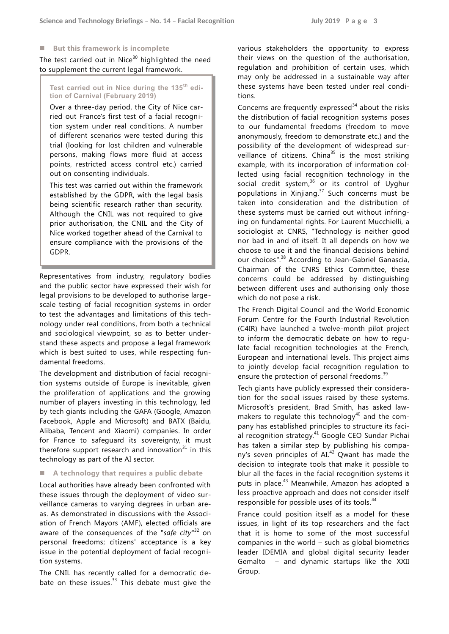#### **But this framework is incomplete**

The test carried out in Nice $30$  highlighted the need to supplement the current legal framework.

**Test carried out in Nice during the 135th edition of Carnival (February 2019)**

Over a three-day period, the City of Nice carried out France's first test of a facial recognition system under real conditions. A number of different scenarios were tested during this trial (looking for lost children and vulnerable persons, making flows more fluid at access points, restricted access control etc.) carried out on consenting individuals.

This test was carried out within the framework established by the GDPR, with the legal basis being scientific research rather than security. Although the CNIL was not required to give prior authorisation, the CNIL and the City of Nice worked together ahead of the Carnival to ensure compliance with the provisions of the GDPR.

Representatives from industry, regulatory bodies and the public sector have expressed their wish for legal provisions to be developed to authorise largescale testing of facial recognition systems in order to test the advantages and limitations of this technology under real conditions, from both a technical and sociological viewpoint, so as to better understand these aspects and propose a legal framework which is best suited to uses, while respecting fundamental freedoms.

The development and distribution of facial recognition systems outside of Europe is inevitable, given the proliferation of applications and the growing number of players investing in this technology, led by tech giants including the GAFA (Google, Amazon Facebook, Apple and Microsoft) and BATX (Baidu, Alibaba, Tencent and Xiaomi) companies. In order for France to safeguard its sovereignty, it must therefore support research and innovation $31$  in this technology as part of the AI sector.

### **A technology that requires a public debate**

Local authorities have already been confronted with these issues through the deployment of video surveillance cameras to varying degrees in urban areas. As demonstrated in discussions with the Association of French Mayors (AMF), elected officials are aware of the consequences of the "safe city"<sup>32</sup> on personal freedoms; citizens' acceptance is a key issue in the potential deployment of facial recognition systems.

The CNIL has recently called for a democratic debate on these issues.<sup>33</sup> This debate must give the various stakeholders the opportunity to express their views on the question of the authorisation, regulation and prohibition of certain uses, which may only be addressed in a sustainable way after these systems have been tested under real conditions.

Concerns are frequently expressed $34$  about the risks the distribution of facial recognition systems poses to our fundamental freedoms (freedom to move anonymously, freedom to demonstrate etc.) and the possibility of the development of widespread surveillance of citizens. China<sup>35</sup> is the most striking example, with its incorporation of information collected using facial recognition technology in the social credit system,<sup>36</sup> or its control of Uyghur populations in Xinjiang. <sup>37</sup> Such concerns must be taken into consideration and the distribution of these systems must be carried out without infringing on fundamental rights. For Laurent Mucchielli, a sociologist at CNRS, "Technology is neither good nor bad in and of itself. It all depends on how we choose to use it and the financial decisions behind our choices".<sup>38</sup> According to Jean-Gabriel Ganascia, Chairman of the CNRS Ethics Committee, these concerns could be addressed by distinguishing between different uses and authorising only those which do not pose a risk.

The French Digital Council and the World Economic Forum Centre for the Fourth Industrial Revolution (C4IR) have launched a twelve-month pilot project to inform the democratic debate on how to regulate facial recognition technologies at the French, European and international levels. This project aims to jointly develop facial recognition regulation to ensure the protection of personal freedoms.<sup>39</sup>

Tech giants have publicly expressed their consideration for the social issues raised by these systems. Microsoft's president, Brad Smith, has asked lawmakers to regulate this technology<sup>40</sup> and the company has established principles to structure its facial recognition strategy.<sup>41</sup> Google CEO Sundar Pichai has taken a similar step by publishing his company's seven principles of  $AI^{42}$  Qwant has made the decision to integrate tools that make it possible to blur all the faces in the facial recognition systems it puts in place.<sup>43</sup> Meanwhile, Amazon has adopted a less proactive approach and does not consider itself responsible for possible uses of its tools.<sup>44</sup>

France could position itself as a model for these issues, in light of its top researchers and the fact that it is home to some of the most successful companies in the world – such as global biometrics leader IDEMIA and global digital security leader Gemalto – and dynamic startups like the XXII Group.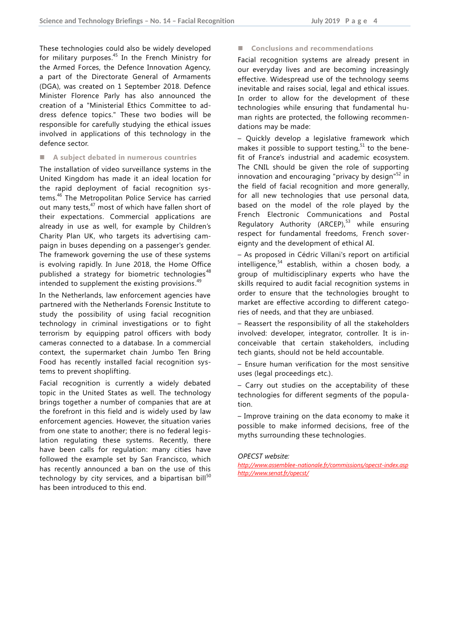These technologies could also be widely developed for military purposes.<sup>45</sup> In the French Ministry for the Armed Forces, the Defence Innovation Agency, a part of the Directorate General of Armaments (DGA), was created on 1 September 2018. Defence Minister Florence Parly has also announced the creation of a "Ministerial Ethics Committee to address defence topics." These two bodies will be responsible for carefully studying the ethical issues involved in applications of this technology in the defence sector.

#### **A subject debated in numerous countries**

The installation of video surveillance systems in the United Kingdom has made it an ideal location for the rapid deployment of facial recognition systems. <sup>46</sup> The Metropolitan Police Service has carried out many tests,<sup>47</sup> most of which have fallen short of their expectations. Commercial applications are already in use as well, for example by Children's Charity Plan UK, who targets its advertising campaign in buses depending on a passenger's gender. The framework governing the use of these systems is evolving rapidly. In June 2018, the Home Office published a strategy for biometric technologies<sup>48</sup> intended to supplement the existing provisions.<sup>49</sup>

In the Netherlands, law enforcement agencies have partnered with the Netherlands Forensic Institute to study the possibility of using facial recognition technology in criminal investigations or to fight terrorism by equipping patrol officers with body cameras connected to a database. In a commercial context, the supermarket chain Jumbo Ten Bring Food has recently installed facial recognition systems to prevent shoplifting.

Facial recognition is currently a widely debated topic in the United States as well. The technology brings together a number of companies that are at the forefront in this field and is widely used by law enforcement agencies. However, the situation varies from one state to another; there is no federal legislation regulating these systems. Recently, there have been calls for regulation: many cities have followed the example set by San Francisco, which has recently announced a ban on the use of this technology by city services, and a bipartisan bill<sup>50</sup> has been introduced to this end.

■ Conclusions and recommendations

Facial recognition systems are already present in our everyday lives and are becoming increasingly effective. Widespread use of the technology seems inevitable and raises social, legal and ethical issues. In order to allow for the development of these technologies while ensuring that fundamental human rights are protected, the following recommendations may be made:

– Quickly develop a legislative framework which makes it possible to support testing, $51$  to the benefit of France's industrial and academic ecosystem. The CNIL should be given the role of supporting innovation and encouraging "privacy by design"<sup>52</sup> in the field of facial recognition and more generally, for all new technologies that use personal data, based on the model of the role played by the French Electronic Communications and Postal Regulatory Authority (ARCEP), <sup>53</sup> while ensuring respect for fundamental freedoms, French sovereignty and the development of ethical AI.

– As proposed in Cédric Villani's report on artificial intelligence,<sup>54</sup> establish, within a chosen body, a group of multidisciplinary experts who have the skills required to audit facial recognition systems in order to ensure that the technologies brought to market are effective according to different categories of needs, and that they are unbiased.

– Reassert the responsibility of all the stakeholders involved: developer, integrator, controller. It is inconceivable that certain stakeholders, including tech giants, should not be held accountable.

– Ensure human verification for the most sensitive uses (legal proceedings etc.).

– Carry out studies on the acceptability of these technologies for different segments of the population.

– Improve training on the data economy to make it possible to make informed decisions, free of the myths surrounding these technologies.

#### *OPECST website:*

*<http://www.assemblee-nationale.fr/commissions/opecst-index.asp> <http://www.senat.fr/opecst/>*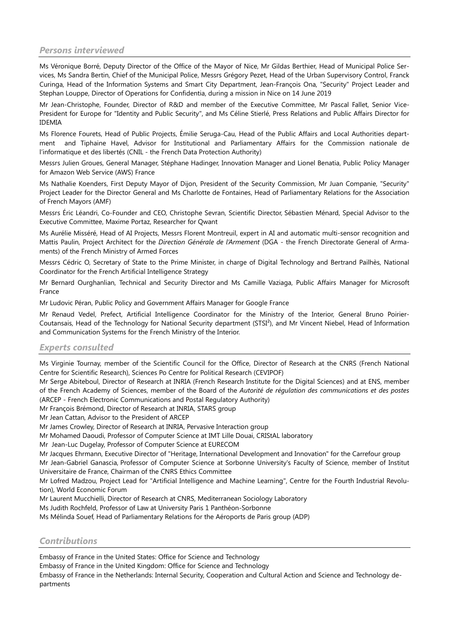# *Persons interviewed*

Ms Véronique Borré, Deputy Director of the Office of the Mayor of Nice, Mr Gildas Berthier, Head of Municipal Police Services, Ms Sandra Bertin, Chief of the Municipal Police, Messrs Grégory Pezet, Head of the Urban Supervisory Control, Franck Curinga, Head of the Information Systems and Smart City Department, Jean-François Ona, "Security" Project Leader and Stephan Louppe, Director of Operations for Confidentia, during a mission in Nice on 14 June 2019

Mr Jean-Christophe, Founder, Director of R&D and member of the Executive Committee, Mr Pascal Fallet, Senior Vice-President for Europe for "Identity and Public Security", and Ms Céline Stierlé, Press Relations and Public Affairs Director for IDEMIA

Ms Florence Fourets, Head of Public Projects, Émilie Seruga-Cau, Head of the Public Affairs and Local Authorities department and Tiphaine Havel, Advisor for Institutional and Parliamentary Affairs for the Commission nationale de l'informatique et des libertés (CNIL - the French Data Protection Authority)

Messrs Julien Groues, General Manager, Stéphane Hadinger, Innovation Manager and Lionel Benatia, Public Policy Manager for Amazon Web Service (AWS) France

Ms Nathalie Koenders, First Deputy Mayor of Dijon, President of the Security Commission, Mr Juan Companie, "Security" Project Leader for the Director General and Ms Charlotte de Fontaines, Head of Parliamentary Relations for the Association of French Mayors (AMF)

Messrs Éric Léandri, Co-Founder and CEO, Christophe Sevran, Scientific Director, Sébastien Ménard, Special Advisor to the Executive Committee, Maxime Portaz, Researcher for Qwant

Ms Aurélie Misséré, Head of AI Projects, Messrs Florent Montreuil, expert in AI and automatic multi-sensor recognition and Mattis Paulin, Project Architect for the *Direction Générale de l'Armement* (DGA - the French Directorate General of Armaments) of the French Ministry of Armed Forces

Messrs Cédric O, Secretary of State to the Prime Minister, in charge of Digital Technology and Bertrand Pailhès, National Coordinator for the French Artificial Intelligence Strategy

Mr Bernard Ourghanlian, Technical and Security Director and Ms Camille Vaziaga, Public Affairs Manager for Microsoft France

Mr Ludovic Péran, Public Policy and Government Affairs Manager for Google France

Mr Renaud Vedel, Prefect, Artificial Intelligence Coordinator for the Ministry of the Interior, General Bruno Poirier-Coutansais, Head of the Technology for National Security department (STSI²), and Mr Vincent Niebel, Head of Information and Communication Systems for the French Ministry of the Interior.

# *Experts consulted*

Ms Virginie Tournay, member of the Scientific Council for the Office, Director of Research at the CNRS (French National Centre for Scientific Research), Sciences Po Centre for Political Research (CEVIPOF)

Mr Serge Abiteboul, Director of Research at INRIA (French Research Institute for the Digital Sciences) and at ENS, member of the French Academy of Sciences, member of the Board of the *Autorité de régulation des communications et des postes* (ARCEP - French Electronic Communications and Postal Regulatory Authority)

Mr François Brémond, Director of Research at INRIA, STARS group

Mr Jean Cattan, Advisor to the President of ARCEP

Mr James Crowley, Director of Research at INRIA, Pervasive Interaction group

Mr Mohamed Daoudi, Professor of Computer Science at IMT Lille Douai, CRIStAL laboratory

Mr Jean-Luc Dugelay, Professor of Computer Science at EURECOM

Mr Jacques Ehrmann, Executive Director of "Heritage, International Development and Innovation" for the Carrefour group

Mr Jean-Gabriel Ganascia, Professor of Computer Science at Sorbonne University's Faculty of Science, member of Institut Universitaire de France, Chairman of the CNRS Ethics Committee

Mr Lofred Madzou, Project Lead for "Artificial Intelligence and Machine Learning", Centre for the Fourth Industrial Revolution), World Economic Forum

Mr Laurent Mucchielli, Director of Research at CNRS, Mediterranean Sociology Laboratory

Ms Judith Rochfeld, Professor of Law at University Paris 1 Panthéon-Sorbonne

Ms Mélinda Souef, Head of Parliamentary Relations for the Aéroports de Paris group (ADP)

# *Contributions*

Embassy of France in the United States: Office for Science and Technology

Embassy of France in the United Kingdom: Office for Science and Technology

Embassy of France in the Netherlands: Internal Security, Cooperation and Cultural Action and Science and Technology departments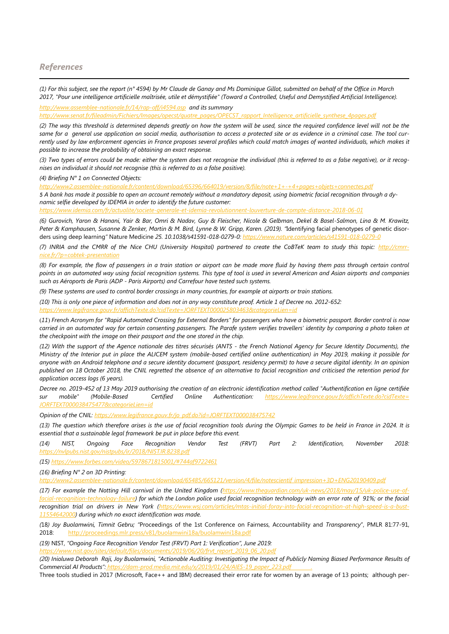#### *References*

 $\overline{a}$ 

*(1) For this subject, see the report (n° 4594) by Mr Claude de Ganay and Ms Dominique Gillot, submitted on behalf of the Office in March 2017, "Pour une intelligence artificielle maîtrisée, utile et démystifiée" (Toward a Controlled, Useful and Demystified Artificial Intelligence). <http://www.assemblee-nationale.fr/14/rap-off/i4594.asp> and its summary* 

*[http://www.senat.fr/fileadmin/Fichiers/Images/opecst/quatre\\_pages/OPECST\\_rapport\\_Intelligence\\_artificielle\\_synthese\\_4pages.pdf](http://www.senat.fr/fileadmin/Fichiers/Images/opecst/quatre_pages/OPECST_rapport_Intelligence_artificielle_synthese_4pages.pdf)*

*(2) The way this threshold is determined depends greatly on how the system will be used, since the required confidence level will not be the same for a general use application on social media, authorisation to access a protected site or as evidence in a criminal case. The tool cur*rently used by law enforcement agencies in France proposes several profiles which could match images of wanted individuals, which makes it *possible to increase the probability of obtaining an exact response.*

*(3) Two types of errors could be made: either the system does not recognise the individual (this is referred to as a false negative), or it recognises an individual it should not recognise (this is referred to as a false positive).*

*(4) Briefing N° 1 on Connected Objects:*

*<http://www2.assemblee-nationale.fr/content/download/65396/664019/version/8/file/note+1+-+4+pages+objets+connectes.pdf>* 5 *A bank has made it possible to open an account remotely without a mandatory deposit, using biometric facial recognition through a dynamic selfie developed by IDEMIA in order to identify the future customer:*

*<https://www.idemia.com/fr/actualite/societe-generale-et-idemia-revolutionnent-louverture-de-compte-distance-2018-06-01>*

*(6) Gurovich, Yaron & Hanani, Yair & Bar, Omri & Nadav, Guy & Fleischer, Nicole & Gelbman, Dekel & Basel-Salmon, Lina & M. Krawitz, Peter & Kamphausen, Susanne & Zenker, Martin & M. Bird, Lynne & W. Gripp, Karen. (2019). "*Identifying facial phenotypes of genetic disorders using deep learning*"* Nature Medicine *25. 10.1038/s41591-018-0279-0:<https://www.nature.com/articles/s41591-018-0279-0>*

*(7) INRIA and the CMRR of the Nice CHU (University Hospital) partnered to create the CoBTeK team to study this topic: [http://cmrr](http://cmrr-nice.fr/?p=cobtek-presentation)[nice.fr/?p=cobtek-presentation](http://cmrr-nice.fr/?p=cobtek-presentation)*

*(8) For example, the flow of passengers in a train station or airport can be made more fluid by having them pass through certain control points in an automated way using facial recognition systems. This type of tool is used in several American and Asian airports and companies such as Aéroports de Paris (ADP - Paris Airports) and Carrefour have tested such systems.* 

*(9) These systems are used to control border crossings in many countries, for example at airports or train stations.* 

*(10) This is only one piece of information and does not in any way constitute proof. Article 1 of Decree no. 2012-652: <https://www.legifrance.gouv.fr/affichTexte.do?cidTexte=JORFTEXT000025803463&categorieLien=id>*

(*11*) *French Acronym for "Rapid Automated Crossing for External Borders" for passengers who have a biometric passport. Border control is now carried in an automated way for certain consenting passengers. The Parafe system verifies travellers' identity by comparing a photo taken at the checkpoint with the image on their passport and the one stored in the chip.* 

*(12) With the support of the Agence nationale des titres sécurisés (ANTS - the French National Agency for Secure Identity Documents), the Ministry of the Interior put in place the ALICEM system (mobile-based certified online authentication) in May 2019, making it possible for anyone with an Android telephone and a secure identity document (passport, residency permit) to have a secure digital identity. In an opinion published on 18 October 2018, the CNIL regretted the absence of an alternative to facial recognition and criticised the retention period for application access logs (6 years).*

*Decree no. 2019-452 of 13 May 2019 authorising the creation of an electronic identification method called "Authentification en ligne certifiée sur mobile" (Mobile-Based Certified Online Authentication: [https://www.legifrance.gouv.fr/affichTexte.do?cidTexte=](https://www.legifrance.gouv.fr/affichTexte.do?cidTexte=JORFTEXT000038475477&categorieLien=id) [JORFTEXT000038475477&categorieLien=id](https://www.legifrance.gouv.fr/affichTexte.do?cidTexte=JORFTEXT000038475477&categorieLien=id)*

*Opinion of the CNIL: [https://www.legifrance.gouv.fr/jo\\_pdf.do?id=JORFTEXT000038475742](https://www.legifrance.gouv.fr/jo_pdf.do?id=JORFTEXT000038475742)*

*(13) The question which therefore arises is the use of facial recognition tools during the Olympic Games to be held in France in 2024. It is essential that a sustainable legal framework be put in place before this event.* 

*(14) NIST, Ongoing Face Recognition Vendor Test (FRVT) Part 2: Identification, November 2018: https://nylpu* 

*(15) <https://www.forbes.com/video/5978671815001/#744af9722461>*

*(16) Briefing N° 2 on 3D Printing:*

*[http://www2.assemblee-nationale.fr/content/download/65485/665121/version/4/file/notescientif\\_impression+3D+ENG20190409.pdf](http://www2.assemblee-nationale.fr/content/download/65485/665121/version/4/file/notescientif_impression+3D+ENG20190409.pdf)*

*(17) For example the Notting Hill carnival in the United Kingdom [\(https://www.theguardian.com/uk-news/2018/may/15/uk-police-use-of](https://www.theguardian.com/uk-news/2018/may/15/uk-police-use-of-facial-recognition-technology-failure)[facial-recognition-technology-failure\)](https://www.theguardian.com/uk-news/2018/may/15/uk-police-use-of-facial-recognition-technology-failure) for which the London police used facial recognition technology with an error rate of 91%; or the facial recognition trial on drivers in New York [\(https://www.wsj.com/articles/mtas-initial-foray-into-facial-recognition-at-high-speed-is-a-bust-](https://www.wsj.com/articles/mtas-initial-foray-into-facial-recognition-at-high-speed-is-a-bust-11554642000)[11554642000\)](https://www.wsj.com/articles/mtas-initial-foray-into-facial-recognition-at-high-speed-is-a-bust-11554642000) during which no exact identification was made.*

*(*18*) Joy Buolamwini, Timnit Gebru; "*Proceedings of the 1st Conference on Fairness, Accountability and *Transparency*", PMLR 81:77-91, 2018: <http://proceedings.mlr.press/v81/buolamwini18a/buolamwini18a.pdf>

*(19)* NIST, *"Ongoing Face Recognition Vendor Test (FRVT) Part 1: Verification", June 2019:*

*[https://www.nist.gov/sites/default/files/documents/2019/06/20/frvt\\_report\\_2019\\_06\\_20.pdf](https://www.nist.gov/sites/default/files/documents/2019/06/20/frvt_report_2019_06_20.pdf)*

*(20) Inioluwa Deborah Raji, Joy Buolamwini, "Actionable Auditing: Investigating the Impact of Publicly Naming Biased Performance Results of Commercial AI Products": [https://dam-prod.media.mit.edu/x/2019/01/24/AIES-19\\_paper\\_223.pdf](https://dam-prod.media.mit.edu/x/2019/01/24/AIES-19_paper_223.pdf) .*

Three tools studied in 2017 (Microsoft, Face++ and IBM) decreased their error rate for women by an average of 13 points; although per-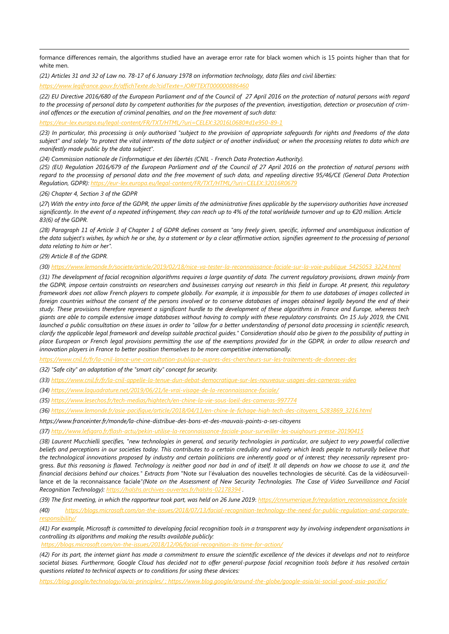formance differences remain, the algorithms studied have an average error rate for black women which is 15 points higher than that for white men.

*(21) Articles 31 and 32 of Law no. 78-17 of 6 January 1978 on information technology, data files and civil liberties:*

*<https://www.legifrance.gouv.fr/affichTexte.do?cidTexte=JORFTEXT000000886460>*

*(22) EU Directive 2016/680 of the European Parliament and of the Council of 27 April 2016 on the protection of natural persons with regard to the processing of personal data by competent authorities for the purposes of the prevention, investigation, detection or prosecution of criminal offences or the execution of criminal penalties, and on the free movement of such data:*

*<https://eur-lex.europa.eu/legal-content/FR/TXT/HTML/?uri=CELEX:32016L0680#d1e950-89-1>*

*(23) In particular, this processing is only authorised "subject to the provision of appropriate safeguards for rights and freedoms of the data subject" and solely "to protect the vital interests of the data subject or of another individual; or when the processing relates to data which are manifestly made public by the data subject".* 

*(24)* Commission nationale de l'informatique et des libertés (CNIL - French Data Protection Authority).

*(25) (EU) Regulation 2016/679 of the European Parliament and of the Council of 27 April 2016 on the protection of natural persons with regard to the processing of personal data and the free movement of such data, and repealing directive 95/46/CE (General Data Protection Regulation, GDPR): <https://eur-lex.europa.eu/legal-content/FR/TXT/HTML/?uri=CELEX:32016R0679>*

*(26) Chapter 4, Section 3 of the GDPR*

(*27*) *With the entry into force of the GDPR, the upper limits of the administrative fines applicable by the supervisory authorities have increased significantly. In the event of a repeated infringement, they can reach up to 4% of the total worldwide turnover and up to €20 million. Article 83(6) of the GDPR.*

*(28) Paragraph 11 of Article 3 of Chapter 1 of GDPR defines consent as "any freely given, specific, informed and unambiguous indication of the data subject's wishes, by which he or she, by a statement or by a clear affirmative action, signifies agreement to the processing of personal data relating to him or her".*

*(29) Article 8 of the GDPR.*

-

*(30) [https://www.lemonde.fr/societe/article/2019/02/18/nice-va-tester-la-reconnaissance-faciale-sur-la-voie-publique\\_5425053\\_3224.html](https://www.lemonde.fr/societe/article/2019/02/18/nice-va-tester-la-reconnaissance-faciale-sur-la-voie-publique_5425053_3224.html)*

*(31) The development of facial recognition algorithms requires a large quantity of data. The current regulatory provisions, drawn mainly from the GDPR, impose certain constraints on researchers and businesses carrying out research in this field in Europe. At present, this regulatory framework does not allow French players to compete globally. For example, it is impossible for them to use databases of images collected in foreign countries without the consent of the persons involved or to conserve databases of images obtained legally beyond the end of their study. These provisions therefore represent a significant hurdle to the development of these algorithms in France and Europe, whereas tech giants are able to compile extensive image databases without having to comply with these regulatory constraints. On 15 July 2019, the CNIL launched a public consultation on these issues in order to "allow for a better understanding of personal data processing in scientific research, clarify the applicable legal framework and develop suitable practical guides." Consideration should also be given to the possibility of putting in place European or French legal provisions permitting the use of the exemptions provided for in the GDPR, in order to allow research and innovation players in France to better position themselves to be more competitive internationally.*

*<https://www.cnil.fr/fr/la-cnil-lance-une-consultation-publique-aupres-des-chercheurs-sur-les-traitements-de-donnees-des>*

*(32) "Safe city" an adaptation of the "smart city" concept for security.* 

- *(33) <https://www.cnil.fr/fr/la-cnil-appelle-la-tenue-dun-debat-democratique-sur-les-nouveaux-usages-des-cameras-video>*
- *(34) <https://www.laquadrature.net/2019/06/21/le-vrai-visage-de-la-reconnaissance-faciale/>*
- *(35) <https://www.lesechos.fr/tech-medias/hightech/en-chine-la-vie-sous-loeil-des-cameras-997774>*
- *(36) [https://www.lemonde.fr/asie-pacifique/article/2018/04/11/en-chine-le-fichage-high-tech-des-citoyens\\_5283869\\_3216.html](https://www.lemonde.fr/asie-pacifique/article/2018/04/11/en-chine-le-fichage-high-tech-des-citoyens_5283869_3216.html)*

*https://www.franceinter.fr/monde/la-chine-distribue-des-bons-et-des-mauvais-points-a-ses-citoyens*

*(37) <http://www.lefigaro.fr/flash-actu/pekin-utilise-la-reconnaissance-faciale-pour-surveiller-les-ouighours-presse-20190415>*

*(38) Laurent Mucchielli specifies, "new technologies in general, and security technologies in particular, are subject to very powerful collective beliefs and perceptions in our societies today. This contributes to a certain credulity and naivety which leads people to naturally believe that*  the technological innovations proposed by industry and certain politicians are inherently good or of interest; they necessarily represent progress. *But this reasoning is flawed. Technology is neither good nor bad in and of itself. It all depends on how we choose to use it, and the financial decisions behind our choices." Extracts from* "Note sur l'évaluation des nouvelles technologies de sécurité. Cas de la vidéosurveillance et de la reconnaissance faciale*"(Note on the Assessment of New Security Technologies. The Case of Video Surveillance and Facial Recognition Technology):* https://halshs.archives-ouvertes.fr/hal:

(39) The first meeting, in which the rapporteur took part, was held on 26 June 2019: [https://cnnumerique.fr/regulation\\_reconnaissance\\_faciale](https://cnnumerique.fr/regulation_reconnaissance_faciale)

*(40) [https://blogs.microsoft.com/on-the-issues/2018/07/13/facial-recognition-technology-the-need-for-public-regulation-and-corporate](https://blogs.microsoft.com/on-the-issues/2018/07/13/facial-recognition-technology-the-need-for-public-regulation-and-corporate-responsibility/)[responsibility/](https://blogs.microsoft.com/on-the-issues/2018/07/13/facial-recognition-technology-the-need-for-public-regulation-and-corporate-responsibility/)*

*(41) For example, Microsoft is committed to developing facial recognition tools in a transparent way by involving independent organisations in controlling its algorithms and making the results available publicly:*

*<https://blogs.microsoft.com/on-the-issues/2018/12/06/facial-recognition-its-time-for-action/>*

*(42) For its part, the internet giant has made a commitment to ensure the scientific excellence of the devices it develops and not to reinforce societal biases. Furthermore, Google Cloud has decided not to offer general-purpose facial recognition tools before it has resolved certain questions related to technical aspects or to conditions for using these devices:*

*<https://blog.google/technology/ai/ai-principles/> ;<https://www.blog.google/around-the-globe/google-asia/ai-social-good-asia-pacific/>*